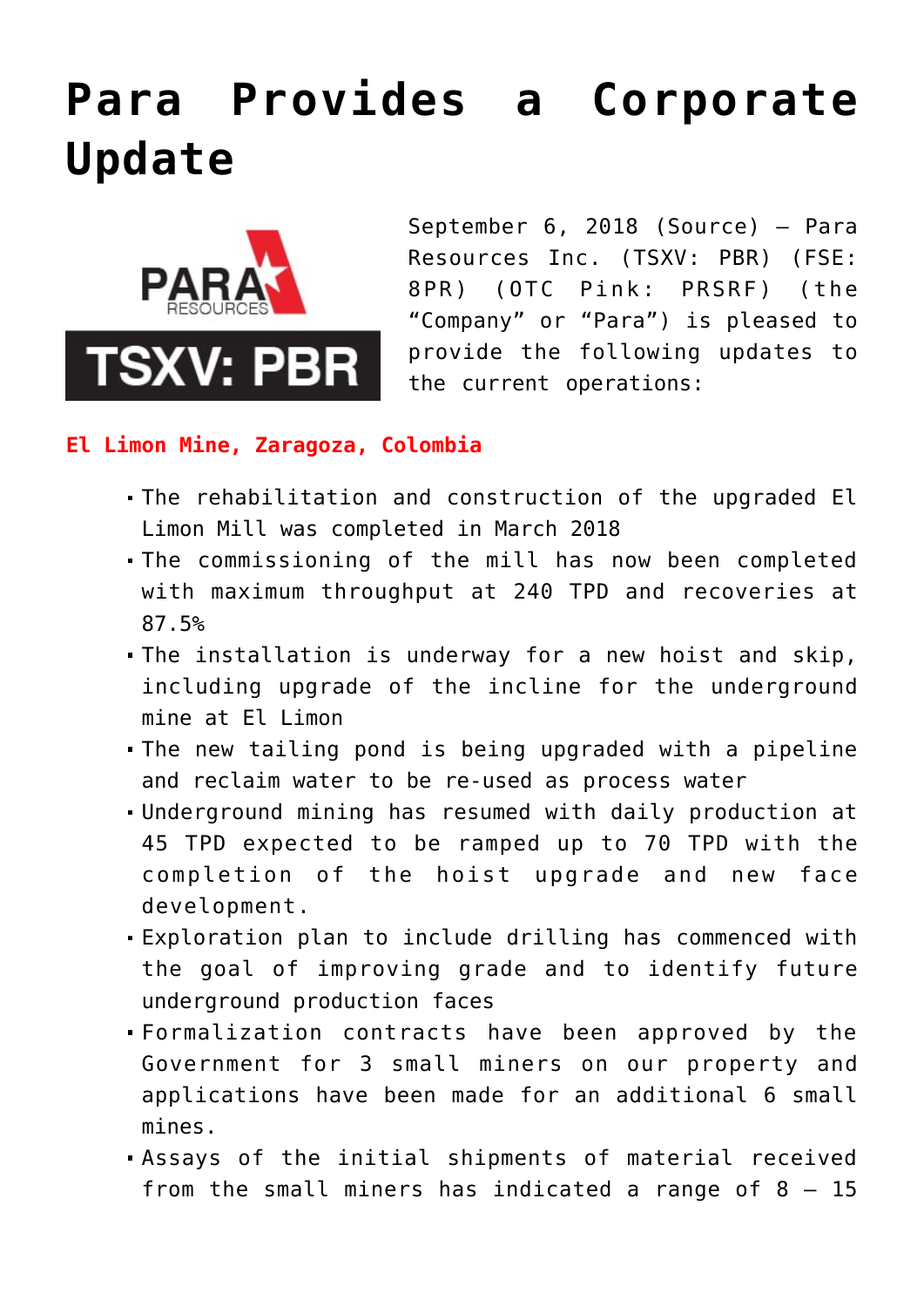# **[Para Provides a Corporate](https://investorintel.com/markets/gold-silver-base-metals/gold-precious-metals-news/para-provides-corporate-update/) [Update](https://investorintel.com/markets/gold-silver-base-metals/gold-precious-metals-news/para-provides-corporate-update/)**



September 6, 2018 ([Source\)](https://investorintel.com/iintel-members/para-resources-inc/) — Para Resources Inc. (TSXV: PBR) (FSE: 8PR) (OTC Pink: PRSRF) (the "Company" or "Para") is pleased to provide the following updates to the current operations:

### **El Limon Mine, Zaragoza, Colombia**

- The rehabilitation and construction of the upgraded El Limon Mill was completed in March 2018
- The commissioning of the mill has now been completed with maximum throughput at 240 TPD and recoveries at 87.5%
- The installation is underway for a new hoist and skip, including upgrade of the incline for the underground mine at El Limon
- The new tailing pond is being upgraded with a pipeline and reclaim water to be re-used as process water
- Underground mining has resumed with daily production at 45 TPD expected to be ramped up to 70 TPD with the completion of the hoist upgrade and new face development.
- Exploration plan to include drilling has commenced with the goal of improving grade and to identify future underground production faces
- Formalization contracts have been approved by the Government for 3 small miners on our property and applications have been made for an additional 6 small mines.
- Assays of the initial shipments of material received from the small miners has indicated a range of  $8 - 15$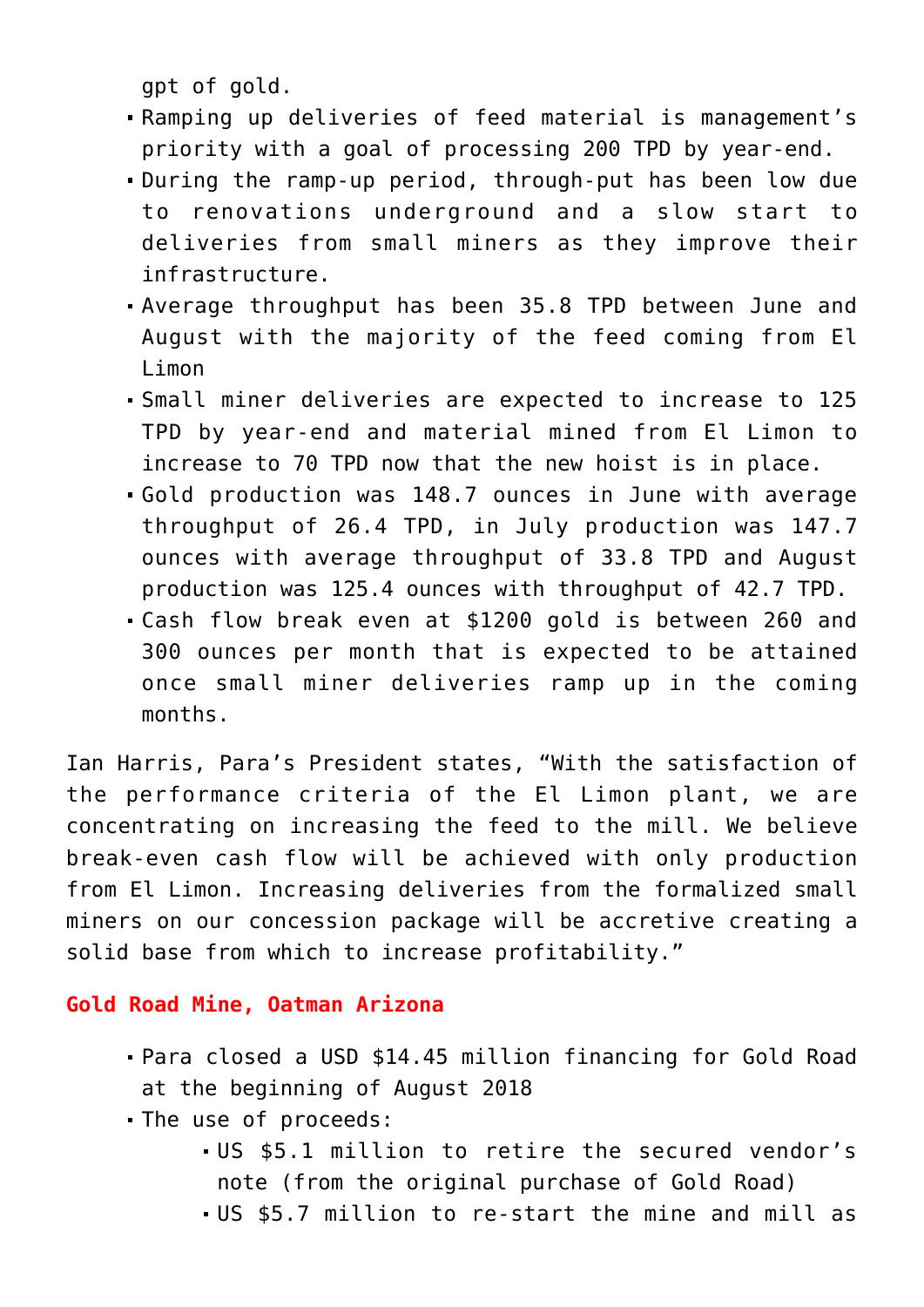gpt of gold.

- Ramping up deliveries of feed material is management's priority with a goal of processing 200 TPD by year-end.
- During the ramp-up period, through-put has been low due to renovations underground and a slow start to deliveries from small miners as they improve their infrastructure.
- Average throughput has been 35.8 TPD between June and August with the majority of the feed coming from El Limon
- Small miner deliveries are expected to increase to 125 TPD by year-end and material mined from El Limon to increase to 70 TPD now that the new hoist is in place.
- Gold production was 148.7 ounces in June with average throughput of 26.4 TPD, in July production was 147.7 ounces with average throughput of 33.8 TPD and August production was 125.4 ounces with throughput of 42.7 TPD.
- Cash flow break even at \$1200 gold is between 260 and 300 ounces per month that is expected to be attained once small miner deliveries ramp up in the coming months.

Ian Harris, Para's President states, "With the satisfaction of the performance criteria of the El Limon plant, we are concentrating on increasing the feed to the mill. We believe break-even cash flow will be achieved with only production from El Limon. Increasing deliveries from the formalized small miners on our concession package will be accretive creating a solid base from which to increase profitability."

## **Gold Road Mine, Oatman Arizona**

- Para closed a USD \$14.45 million financing for Gold Road at the beginning of August 2018
- The use of proceeds:
	- US \$5.1 million to retire the secured vendor's note (from the original purchase of Gold Road)
	- US \$5.7 million to re-start the mine and mill as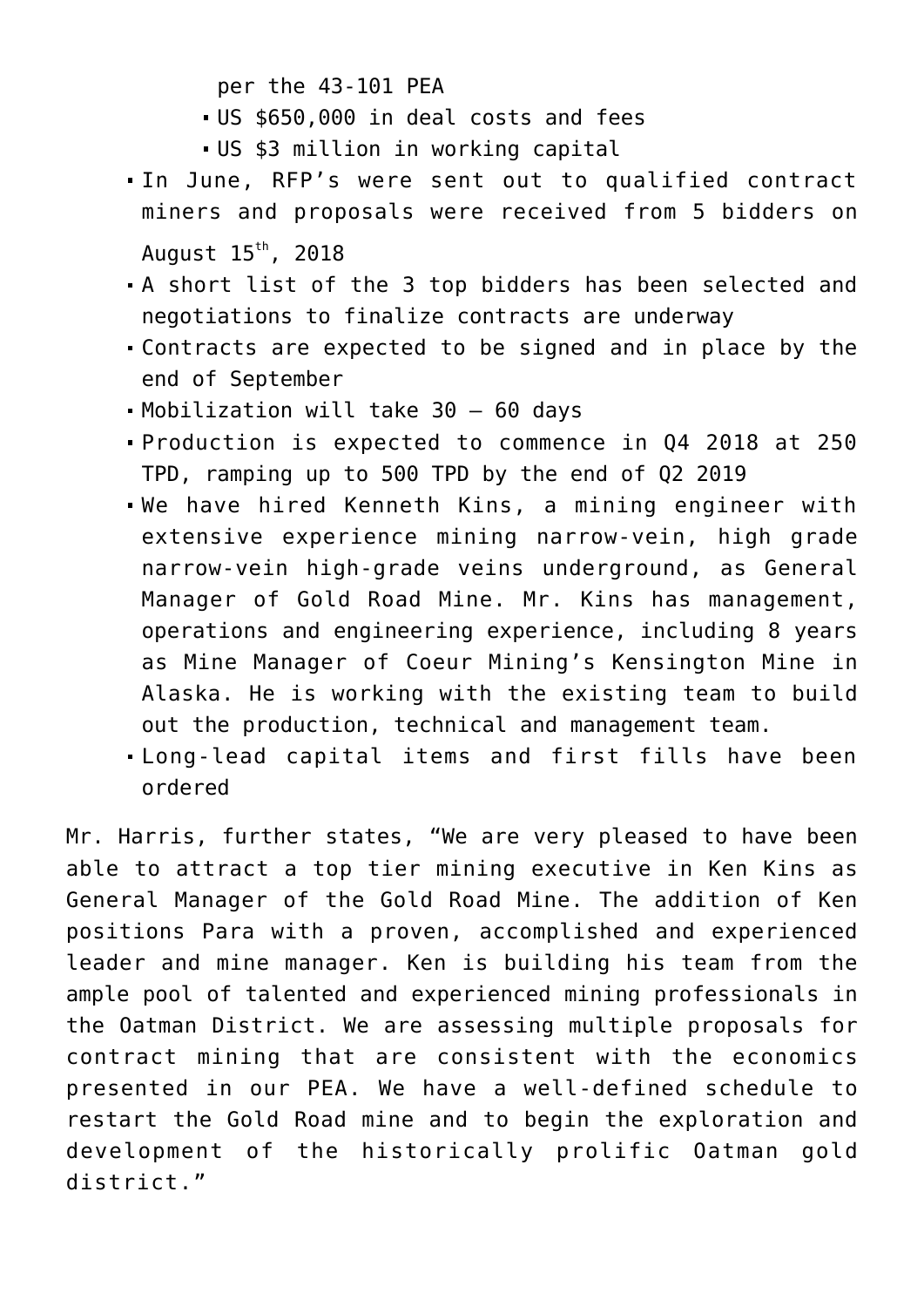per the 43-101 PEA

- US \$650,000 in deal costs and fees
- US \$3 million in working capital
- In June, RFP's were sent out to qualified contract miners and proposals were received from 5 bidders on August  $15<sup>th</sup>$ , 2018
- A short list of the 3 top bidders has been selected and negotiations to finalize contracts are underway
- Contracts are expected to be signed and in place by the end of September
- Mobilization will take 30 60 days
- Production is expected to commence in Q4 2018 at 250 TPD, ramping up to 500 TPD by the end of Q2 2019
- We have hired Kenneth Kins, a mining engineer with extensive experience mining narrow-vein, high grade narrow-vein high-grade veins underground, as General Manager of Gold Road Mine. Mr. Kins has management, operations and engineering experience, including 8 years as Mine Manager of Coeur Mining's Kensington Mine in Alaska. He is working with the existing team to build out the production, technical and management team.
- Long-lead capital items and first fills have been ordered

Mr. Harris, further states, "We are very pleased to have been able to attract a top tier mining executive in Ken Kins as General Manager of the Gold Road Mine. The addition of Ken positions Para with a proven, accomplished and experienced leader and mine manager. Ken is building his team from the ample pool of talented and experienced mining professionals in the Oatman District. We are assessing multiple proposals for contract mining that are consistent with the economics presented in our PEA. We have a well-defined schedule to restart the Gold Road mine and to begin the exploration and development of the historically prolific Oatman gold district."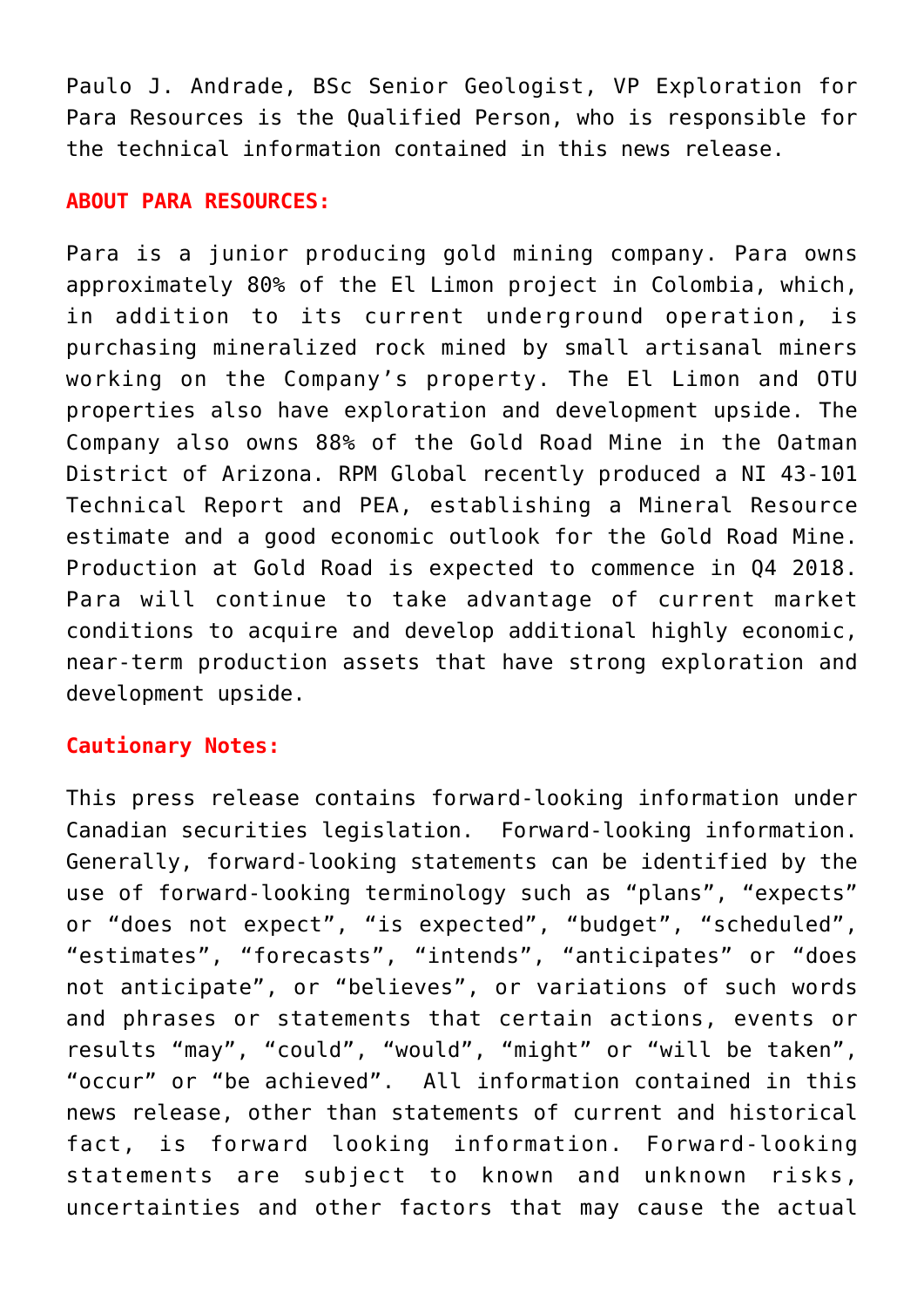Paulo J. Andrade, BSc Senior Geologist, VP Exploration for Para Resources is the Qualified Person, who is responsible for the technical information contained in this news release.

#### **ABOUT PARA RESOURCES:**

Para is a junior producing gold mining company. Para owns approximately 80% of the El Limon project in Colombia, which, in addition to its current underground operation, is purchasing mineralized rock mined by small artisanal miners working on the Company's property. The El Limon and OTU properties also have exploration and development upside. The Company also owns 88% of the Gold Road Mine in the Oatman District of Arizona. RPM Global recently produced a NI 43-101 Technical Report and PEA, establishing a Mineral Resource estimate and a good economic outlook for the Gold Road Mine. Production at Gold Road is expected to commence in Q4 2018. Para will continue to take advantage of current market conditions to acquire and develop additional highly economic, near-term production assets that have strong exploration and development upside.

## **Cautionary Notes:**

This press release contains forward-looking information under Canadian securities legislation. Forward-looking information. Generally, forward-looking statements can be identified by the use of forward-looking terminology such as "plans", "expects" or "does not expect", "is expected", "budget", "scheduled", "estimates", "forecasts", "intends", "anticipates" or "does not anticipate", or "believes", or variations of such words and phrases or statements that certain actions, events or results "may", "could", "would", "might" or "will be taken", "occur" or "be achieved". All information contained in this news release, other than statements of current and historical fact, is forward looking information. Forward-looking statements are subject to known and unknown risks, uncertainties and other factors that may cause the actual